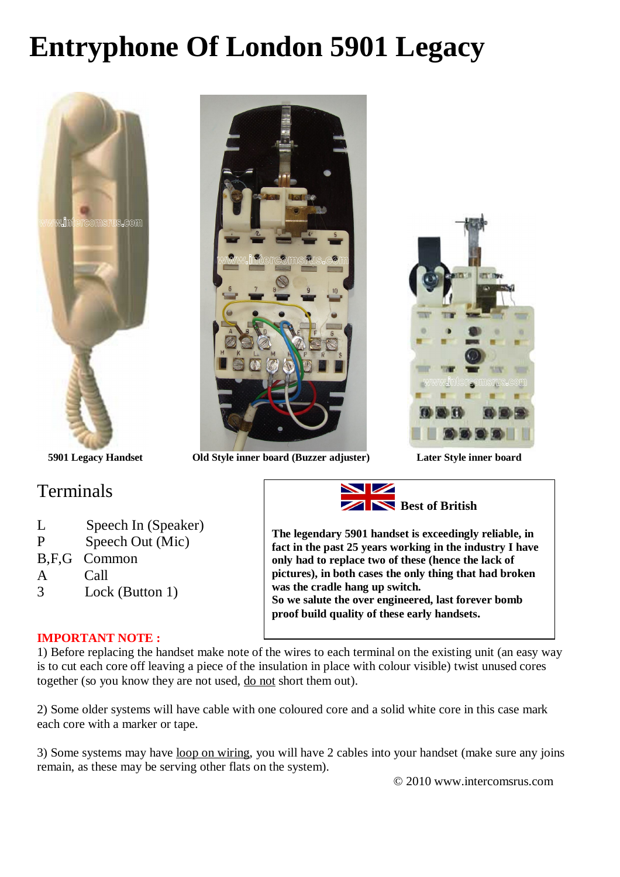## **Entryphone Of London 5901 Legacy**





### **Terminals**

- L Speech In (Speaker)
- P Speech Out (Mic)
- B,F,G Common
- A Call
- 3 Lock (Button 1)

**Best of British**

**The legendary 5901 handset is exceedingly reliable, in fact in the past 25 years working in the industry I have only had to replace two of these (hence the lack of pictures), in both cases the only thing that had broken was the cradle hang up switch. So we salute the over engineered, last forever bomb proof build quality of these early handsets.**

#### **IMPORTANT NOTE :**

1) Before replacing the handset make note of the wires to each terminal on the existing unit (an easy way is to cut each core off leaving a piece of the insulation in place with colour visible) twist unused cores together (so you know they are not used, do not short them out).

2) Some older systems will have cable with one coloured core and a solid white core in this case mark each core with a marker or tape.

3) Some systems may have loop on wiring, you will have 2 cables into your handset (make sure any joins remain, as these may be serving other flats on the system).

© 2010 www.intercomsrus.com